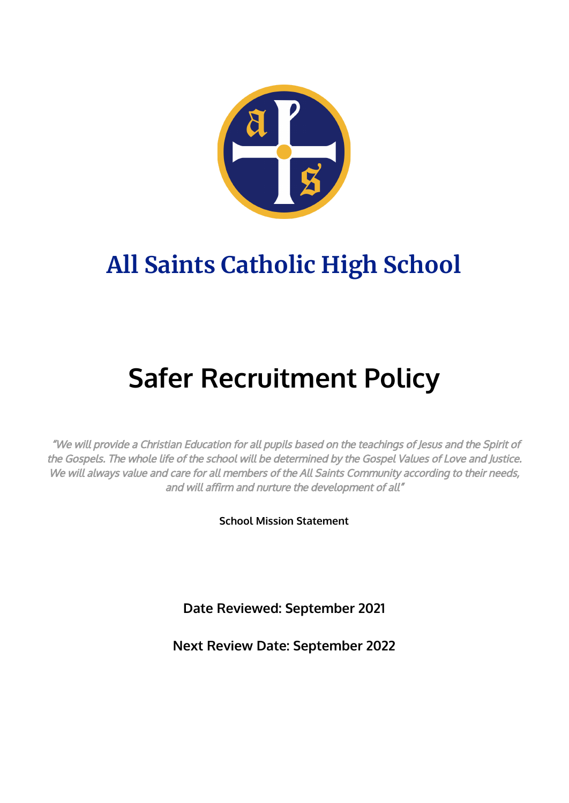

## **All Saints Catholic High School**

# **Safer Recruitment Policy**

"We will provide <sup>a</sup> Christian Education for all pupils based on the teachings of Jesus and the Spirit of the Gospels. The whole life of the school will be determined by the Gospel Values of Love and Justice. We will always value and care for all members of the All Saints Community according to their needs, and will affirm and nurture the development of all"

**School Mission Statement**

**Date Reviewed: September 2021**

**Next Review Date: September 2022**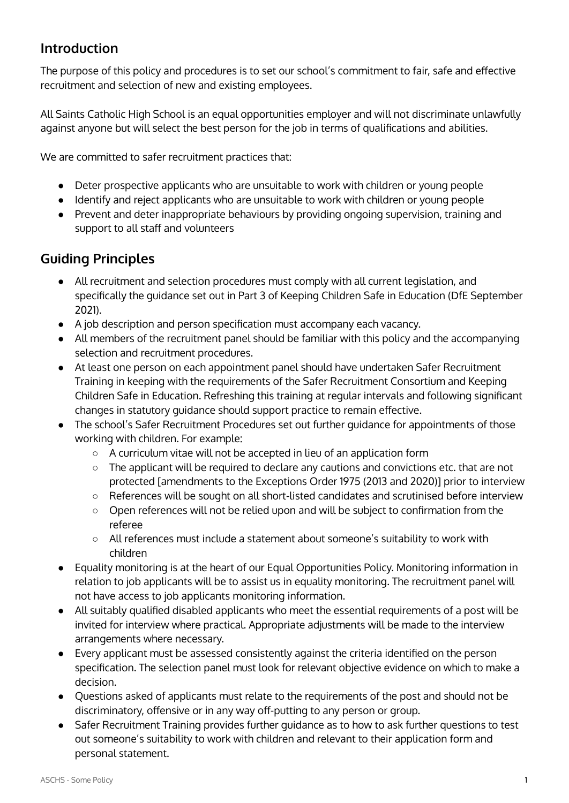#### **Introduction**

The purpose of this policy and procedures is to set our school's commitment to fair, safe and effective recruitment and selection of new and existing employees.

All Saints Catholic High School is an equal opportunities employer and will not discriminate unlawfully against anyone but will select the best person for the job in terms of qualifications and abilities.

We are committed to safer recruitment practices that:

- Deter prospective applicants who are unsuitable to work with children or young people
- Identify and reject applicants who are unsuitable to work with children or young people
- Prevent and deter inappropriate behaviours by providing ongoing supervision, training and support to all staff and volunteers

#### **Guiding Principles**

- All recruitment and selection procedures must comply with all current legislation, and specifically the guidance set out in Part 3 of Keeping Children Safe in Education (DfE September 2021).
- A job description and person specification must accompany each vacancy.
- All members of the recruitment panel should be familiar with this policy and the accompanying selection and recruitment procedures.
- At least one person on each appointment panel should have undertaken Safer Recruitment Training in keeping with the requirements of the Safer Recruitment Consortium and Keeping Children Safe in Education. Refreshing this training at regular intervals and following significant changes in statutory guidance should support practice to remain effective.
- The school's Safer Recruitment Procedures set out further guidance for appointments of those working with children. For example:
	- A curriculum vitae will not be accepted in lieu of an application form
	- The applicant will be required to declare any cautions and convictions etc. that are not protected [amendments to the Exceptions Order 1975 (2013 and 2020)] prior to interview
	- References will be sought on all short-listed candidates and scrutinised before interview
	- Open references will not be relied upon and will be subject to confirmation from the referee
	- All references must include a statement about someone's suitability to work with children
- Equality monitoring is at the heart of our Equal Opportunities Policy. Monitoring information in relation to job applicants will be to assist us in equality monitoring. The recruitment panel will not have access to job applicants monitoring information.
- All suitably qualified disabled applicants who meet the essential requirements of a post will be invited for interview where practical. Appropriate adjustments will be made to the interview arrangements where necessary.
- Every applicant must be assessed consistently against the criteria identified on the person specification. The selection panel must look for relevant objective evidence on which to make a decision.
- Questions asked of applicants must relate to the requirements of the post and should not be discriminatory, offensive or in any way off-putting to any person or group.
- Safer Recruitment Training provides further guidance as to how to ask further questions to test out someone's suitability to work with children and relevant to their application form and personal statement.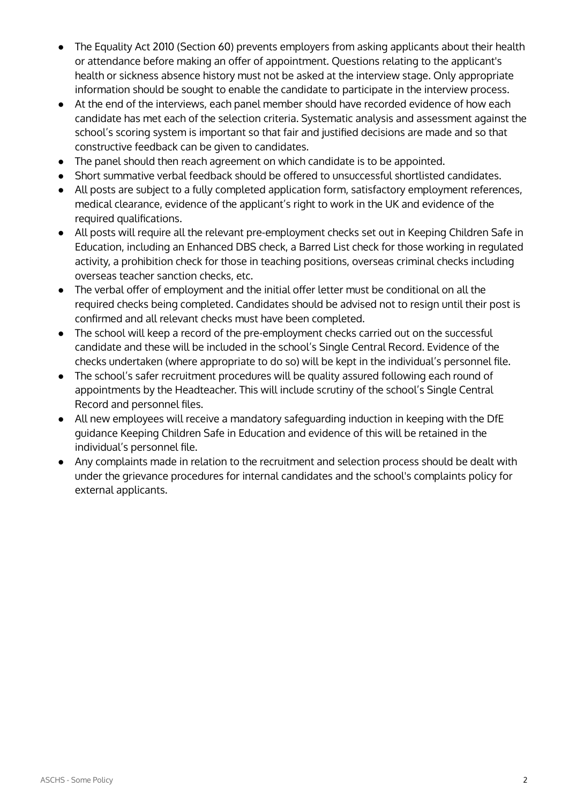- The Equality Act 2010 (Section 60) prevents employers from asking applicants about their health or attendance before making an offer of appointment. Questions relating to the applicant's health or sickness absence history must not be asked at the interview stage. Only appropriate information should be sought to enable the candidate to participate in the interview process.
- At the end of the interviews, each panel member should have recorded evidence of how each candidate has met each of the selection criteria. Systematic analysis and assessment against the school's scoring system is important so that fair and justified decisions are made and so that constructive feedback can be given to candidates.
- The panel should then reach agreement on which candidate is to be appointed.
- Short summative verbal feedback should be offered to unsuccessful shortlisted candidates.
- All posts are subject to a fully completed application form, satisfactory employment references, medical clearance, evidence of the applicant's right to work in the UK and evidence of the required qualifications.
- All posts will require all the relevant pre-employment checks set out in Keeping Children Safe in Education, including an Enhanced DBS check, a Barred List check for those working in regulated activity, a prohibition check for those in teaching positions, overseas criminal checks including overseas teacher sanction checks, etc.
- The verbal offer of employment and the initial offer letter must be conditional on all the required checks being completed. Candidates should be advised not to resign until their post is confirmed and all relevant checks must have been completed.
- The school will keep a record of the pre-employment checks carried out on the successful candidate and these will be included in the school's Single Central Record. Evidence of the checks undertaken (where appropriate to do so) will be kept in the individual's personnel file.
- The school's safer recruitment procedures will be quality assured following each round of appointments by the Headteacher. This will include scrutiny of the school's Single Central Record and personnel files.
- All new employees will receive a mandatory safeguarding induction in keeping with the DfE guidance Keeping Children Safe in Education and evidence of this will be retained in the individual's personnel file.
- Any complaints made in relation to the recruitment and selection process should be dealt with under the grievance procedures for internal candidates and the school's complaints policy for external applicants.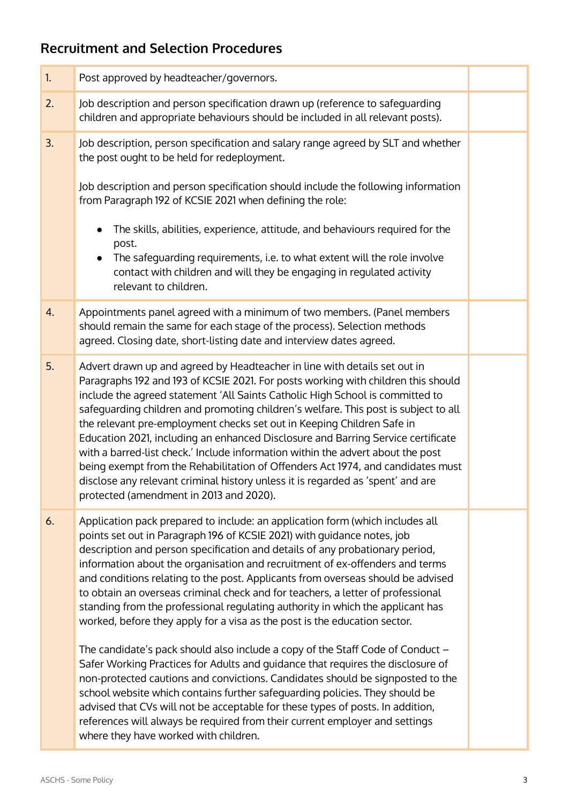### **Recruitment and Selection Procedures**

| 1. | Post approved by headteacher/governors.                                                                                                                                                                                                                                                                                                                                                                                                                                                                                                                                                                                                                                                                                                                                                                  |  |
|----|----------------------------------------------------------------------------------------------------------------------------------------------------------------------------------------------------------------------------------------------------------------------------------------------------------------------------------------------------------------------------------------------------------------------------------------------------------------------------------------------------------------------------------------------------------------------------------------------------------------------------------------------------------------------------------------------------------------------------------------------------------------------------------------------------------|--|
| 2. | Job description and person specification drawn up (reference to safeguarding<br>children and appropriate behaviours should be included in all relevant posts).                                                                                                                                                                                                                                                                                                                                                                                                                                                                                                                                                                                                                                           |  |
| 3. | Job description, person specification and salary range agreed by SLT and whether<br>the post ought to be held for redeployment.<br>Job description and person specification should include the following information<br>from Paragraph 192 of KCSIE 2021 when defining the role:<br>The skills, abilities, experience, attitude, and behaviours required for the<br>post.<br>The safeguarding requirements, i.e. to what extent will the role involve                                                                                                                                                                                                                                                                                                                                                    |  |
|    | contact with children and will they be engaging in regulated activity<br>relevant to children.                                                                                                                                                                                                                                                                                                                                                                                                                                                                                                                                                                                                                                                                                                           |  |
| 4. | Appointments panel agreed with a minimum of two members. (Panel members<br>should remain the same for each stage of the process). Selection methods<br>agreed. Closing date, short-listing date and interview dates agreed.                                                                                                                                                                                                                                                                                                                                                                                                                                                                                                                                                                              |  |
| 5. | Advert drawn up and agreed by Headteacher in line with details set out in<br>Paragraphs 192 and 193 of KCSIE 2021. For posts working with children this should<br>include the agreed statement 'All Saints Catholic High School is committed to<br>safeguarding children and promoting children's welfare. This post is subject to all<br>the relevant pre-employment checks set out in Keeping Children Safe in<br>Education 2021, including an enhanced Disclosure and Barring Service certificate<br>with a barred-list check.' Include information within the advert about the post<br>being exempt from the Rehabilitation of Offenders Act 1974, and candidates must<br>disclose any relevant criminal history unless it is regarded as 'spent' and are<br>protected (amendment in 2013 and 2020). |  |
| 6. | Application pack prepared to include: an application form (which includes all<br>points set out in Paragraph 196 of KCSIE 2021) with guidance notes, job<br>description and person specification and details of any probationary period,<br>information about the organisation and recruitment of ex-offenders and terms<br>and conditions relating to the post. Applicants from overseas should be advised<br>to obtain an overseas criminal check and for teachers, a letter of professional<br>standing from the professional regulating authority in which the applicant has<br>worked, before they apply for a visa as the post is the education sector.                                                                                                                                            |  |
|    | The candidate's pack should also include a copy of the Staff Code of Conduct -<br>Safer Working Practices for Adults and guidance that requires the disclosure of<br>non-protected cautions and convictions. Candidates should be signposted to the<br>school website which contains further safeguarding policies. They should be<br>advised that CVs will not be acceptable for these types of posts. In addition,<br>references will always be required from their current employer and settings<br>where they have worked with children.                                                                                                                                                                                                                                                             |  |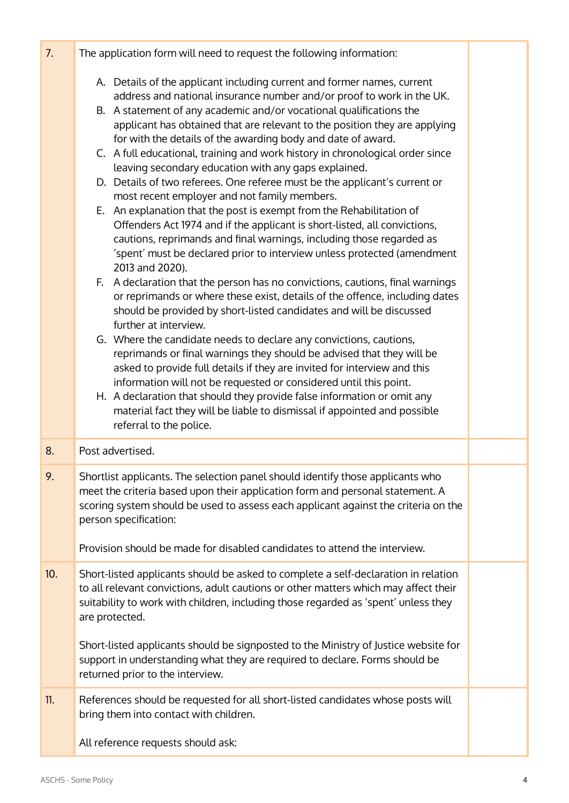| 7.  | The application form will need to request the following information:                                                                                                                                                                                                                                                    |  |
|-----|-------------------------------------------------------------------------------------------------------------------------------------------------------------------------------------------------------------------------------------------------------------------------------------------------------------------------|--|
|     | A. Details of the applicant including current and former names, current<br>address and national insurance number and/or proof to work in the UK.<br>B. A statement of any academic and/or vocational qualifications the                                                                                                 |  |
|     | applicant has obtained that are relevant to the position they are applying<br>for with the details of the awarding body and date of award.                                                                                                                                                                              |  |
|     | C. A full educational, training and work history in chronological order since<br>leaving secondary education with any gaps explained.                                                                                                                                                                                   |  |
|     | D. Details of two referees. One referee must be the applicant's current or<br>most recent employer and not family members.                                                                                                                                                                                              |  |
|     | E. An explanation that the post is exempt from the Rehabilitation of<br>Offenders Act 1974 and if the applicant is short-listed, all convictions,<br>cautions, reprimands and final warnings, including those regarded as<br>'spent' must be declared prior to interview unless protected (amendment<br>2013 and 2020). |  |
|     | F. A declaration that the person has no convictions, cautions, final warnings<br>or reprimands or where these exist, details of the offence, including dates<br>should be provided by short-listed candidates and will be discussed<br>further at interview.                                                            |  |
|     | G. Where the candidate needs to declare any convictions, cautions,<br>reprimands or final warnings they should be advised that they will be                                                                                                                                                                             |  |
|     | asked to provide full details if they are invited for interview and this<br>information will not be requested or considered until this point.                                                                                                                                                                           |  |
|     | H. A declaration that should they provide false information or omit any<br>material fact they will be liable to dismissal if appointed and possible<br>referral to the police.                                                                                                                                          |  |
| 8.  | Post advertised.                                                                                                                                                                                                                                                                                                        |  |
| 9.  | Shortlist applicants. The selection panel should identify those applicants who<br>meet the criteria based upon their application form and personal statement. A<br>scoring system should be used to assess each applicant against the criteria on the<br>person specification:                                          |  |
|     | Provision should be made for disabled candidates to attend the interview.                                                                                                                                                                                                                                               |  |
| 10. | Short-listed applicants should be asked to complete a self-declaration in relation<br>to all relevant convictions, adult cautions or other matters which may affect their<br>suitability to work with children, including those regarded as 'spent' unless they<br>are protected.                                       |  |
|     | Short-listed applicants should be signposted to the Ministry of Justice website for<br>support in understanding what they are required to declare. Forms should be<br>returned prior to the interview.                                                                                                                  |  |
| 11. | References should be requested for all short-listed candidates whose posts will<br>bring them into contact with children.                                                                                                                                                                                               |  |
|     | All reference requests should ask:                                                                                                                                                                                                                                                                                      |  |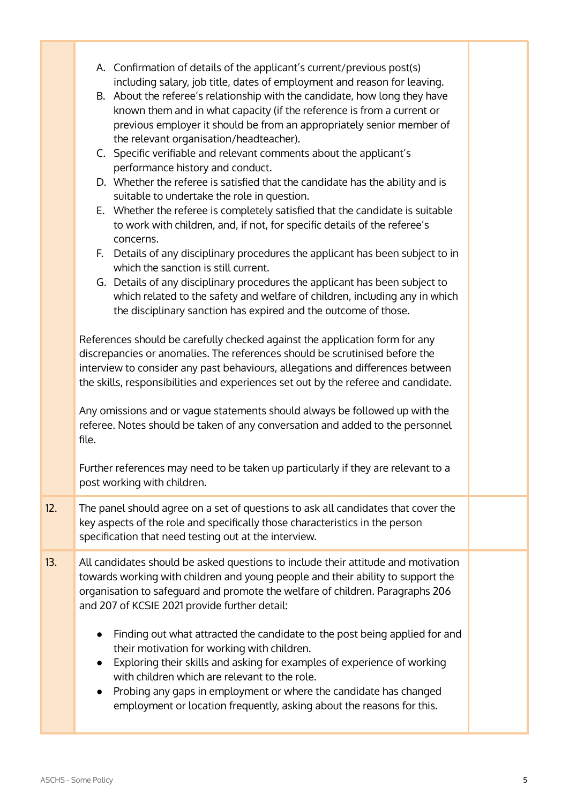|     | A. Confirmation of details of the applicant's current/previous post(s)<br>including salary, job title, dates of employment and reason for leaving.<br>B. About the referee's relationship with the candidate, how long they have<br>known them and in what capacity (if the reference is from a current or<br>previous employer it should be from an appropriately senior member of<br>the relevant organisation/headteacher).             |  |
|-----|--------------------------------------------------------------------------------------------------------------------------------------------------------------------------------------------------------------------------------------------------------------------------------------------------------------------------------------------------------------------------------------------------------------------------------------------|--|
|     | C. Specific verifiable and relevant comments about the applicant's<br>performance history and conduct.                                                                                                                                                                                                                                                                                                                                     |  |
|     | D. Whether the referee is satisfied that the candidate has the ability and is<br>suitable to undertake the role in question.<br>E. Whether the referee is completely satisfied that the candidate is suitable                                                                                                                                                                                                                              |  |
|     | to work with children, and, if not, for specific details of the referee's<br>concerns.                                                                                                                                                                                                                                                                                                                                                     |  |
|     | F. Details of any disciplinary procedures the applicant has been subject to in<br>which the sanction is still current.<br>G. Details of any disciplinary procedures the applicant has been subject to                                                                                                                                                                                                                                      |  |
|     | which related to the safety and welfare of children, including any in which<br>the disciplinary sanction has expired and the outcome of those.                                                                                                                                                                                                                                                                                             |  |
|     | References should be carefully checked against the application form for any<br>discrepancies or anomalies. The references should be scrutinised before the<br>interview to consider any past behaviours, allegations and differences between<br>the skills, responsibilities and experiences set out by the referee and candidate.                                                                                                         |  |
|     | Any omissions and or vague statements should always be followed up with the<br>referee. Notes should be taken of any conversation and added to the personnel<br>file.                                                                                                                                                                                                                                                                      |  |
|     | Further references may need to be taken up particularly if they are relevant to a<br>post working with children.                                                                                                                                                                                                                                                                                                                           |  |
| 12. | The panel should agree on a set of questions to ask all candidates that cover the<br>key aspects of the role and specifically those characteristics in the person<br>specification that need testing out at the interview.                                                                                                                                                                                                                 |  |
| 13. | All candidates should be asked questions to include their attitude and motivation<br>towards working with children and young people and their ability to support the<br>organisation to safeguard and promote the welfare of children. Paragraphs 206<br>and 207 of KCSIE 2021 provide further detail:                                                                                                                                     |  |
|     | Finding out what attracted the candidate to the post being applied for and<br>$\bullet$<br>their motivation for working with children.<br>Exploring their skills and asking for examples of experience of working<br>$\bullet$<br>with children which are relevant to the role.<br>Probing any gaps in employment or where the candidate has changed<br>$\bullet$<br>employment or location frequently, asking about the reasons for this. |  |
|     |                                                                                                                                                                                                                                                                                                                                                                                                                                            |  |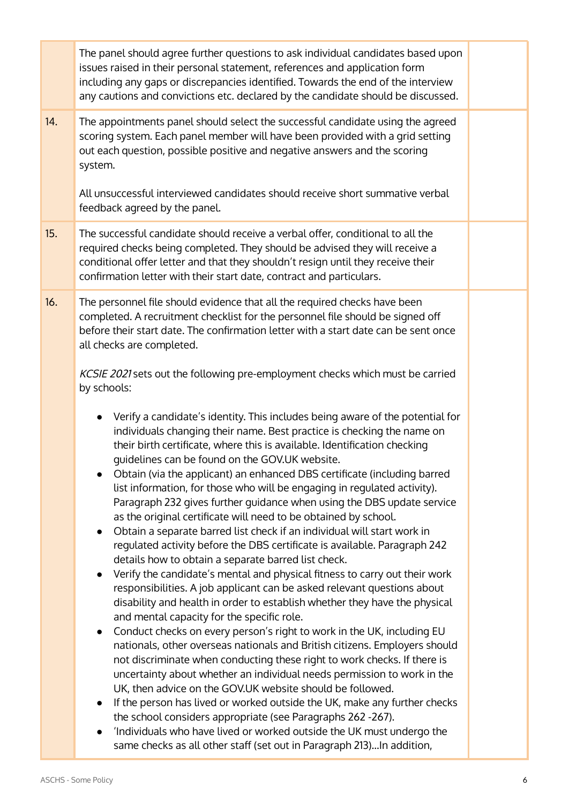|     | The panel should agree further questions to ask individual candidates based upon<br>issues raised in their personal statement, references and application form<br>including any gaps or discrepancies identified. Towards the end of the interview<br>any cautions and convictions etc. declared by the candidate should be discussed.                                                                                                                                                                                                                                                                                                                                                                                                                                                                                                                                                                                                                                                                                                                                                                                                                                                                                                                                                                                                                                                                                                                                                                                                                                                                                                                                                                                                                                                                                                                                                                                                                                                                                                                                                                                                                                                                                        |  |
|-----|-------------------------------------------------------------------------------------------------------------------------------------------------------------------------------------------------------------------------------------------------------------------------------------------------------------------------------------------------------------------------------------------------------------------------------------------------------------------------------------------------------------------------------------------------------------------------------------------------------------------------------------------------------------------------------------------------------------------------------------------------------------------------------------------------------------------------------------------------------------------------------------------------------------------------------------------------------------------------------------------------------------------------------------------------------------------------------------------------------------------------------------------------------------------------------------------------------------------------------------------------------------------------------------------------------------------------------------------------------------------------------------------------------------------------------------------------------------------------------------------------------------------------------------------------------------------------------------------------------------------------------------------------------------------------------------------------------------------------------------------------------------------------------------------------------------------------------------------------------------------------------------------------------------------------------------------------------------------------------------------------------------------------------------------------------------------------------------------------------------------------------------------------------------------------------------------------------------------------------|--|
| 14. | The appointments panel should select the successful candidate using the agreed<br>scoring system. Each panel member will have been provided with a grid setting<br>out each question, possible positive and negative answers and the scoring<br>system.<br>All unsuccessful interviewed candidates should receive short summative verbal<br>feedback agreed by the panel.                                                                                                                                                                                                                                                                                                                                                                                                                                                                                                                                                                                                                                                                                                                                                                                                                                                                                                                                                                                                                                                                                                                                                                                                                                                                                                                                                                                                                                                                                                                                                                                                                                                                                                                                                                                                                                                     |  |
| 15. | The successful candidate should receive a verbal offer, conditional to all the<br>required checks being completed. They should be advised they will receive a<br>conditional offer letter and that they shouldn't resign until they receive their<br>confirmation letter with their start date, contract and particulars.                                                                                                                                                                                                                                                                                                                                                                                                                                                                                                                                                                                                                                                                                                                                                                                                                                                                                                                                                                                                                                                                                                                                                                                                                                                                                                                                                                                                                                                                                                                                                                                                                                                                                                                                                                                                                                                                                                     |  |
| 16. | The personnel file should evidence that all the required checks have been<br>completed. A recruitment checklist for the personnel file should be signed off<br>before their start date. The confirmation letter with a start date can be sent once<br>all checks are completed.<br>KCSIE 2021 sets out the following pre-employment checks which must be carried<br>by schools:<br>Verify a candidate's identity. This includes being aware of the potential for<br>$\bullet$<br>individuals changing their name. Best practice is checking the name on<br>their birth certificate, where this is available. Identification checking<br>guidelines can be found on the GOV.UK website.<br>Obtain (via the applicant) an enhanced DBS certificate (including barred<br>list information, for those who will be engaging in regulated activity).<br>Paragraph 232 gives further guidance when using the DBS update service<br>as the original certificate will need to be obtained by school.<br>Obtain a separate barred list check if an individual will start work in<br>$\bullet$<br>regulated activity before the DBS certificate is available. Paragraph 242<br>details how to obtain a separate barred list check.<br>Verify the candidate's mental and physical fitness to carry out their work<br>responsibilities. A job applicant can be asked relevant questions about<br>disability and health in order to establish whether they have the physical<br>and mental capacity for the specific role.<br>Conduct checks on every person's right to work in the UK, including EU<br>$\bullet$<br>nationals, other overseas nationals and British citizens. Employers should<br>not discriminate when conducting these right to work checks. If there is<br>uncertainty about whether an individual needs permission to work in the<br>UK, then advice on the GOV.UK website should be followed.<br>If the person has lived or worked outside the UK, make any further checks<br>$\bullet$<br>the school considers appropriate (see Paragraphs 262 -267).<br>'Individuals who have lived or worked outside the UK must undergo the<br>$\bullet$<br>same checks as all other staff (set out in Paragraph 213)In addition, |  |